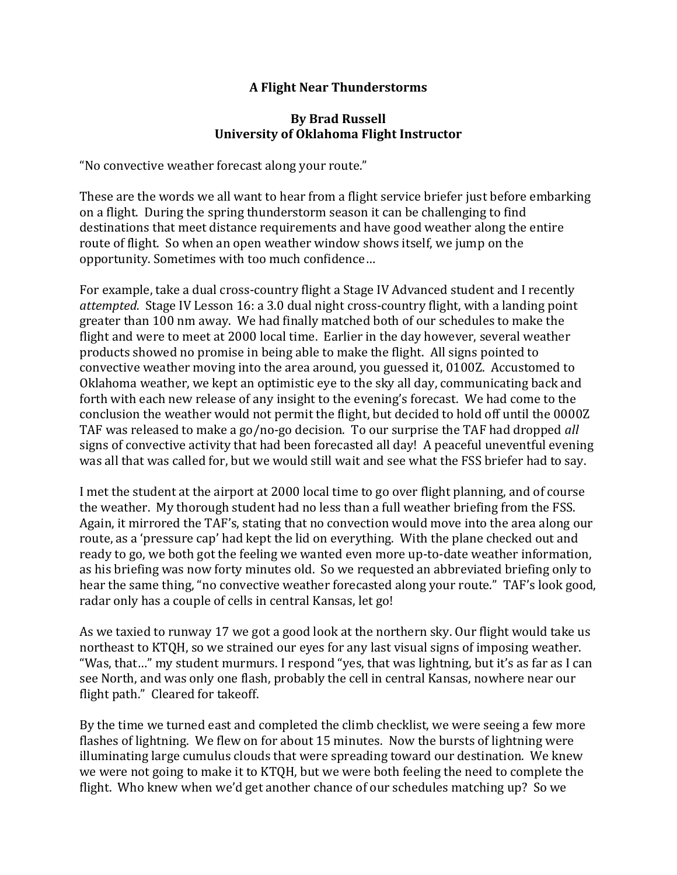## **A Flight Near Thunderstorms**

## **By Brad Russell University of Oklahoma Flight Instructor**

"No convective weather forecast along your route."

These are the words we all want to hear from a flight service briefer just before embarking on a flight. During the spring thunderstorm season it can be challenging to find destinations that meet distance requirements and have good weather along the entire route of flight. So when an open weather window shows itself, we jump on the opportunity. Sometimes with too much confidence…

For example, take a dual cross-country flight a Stage IV Advanced student and I recently *attempted.* Stage IV Lesson 16: a 3.0 dual night cross-country flight, with a landing point greater than 100 nm away. We had finally matched both of our schedules to make the flight and were to meet at 2000 local time. Earlier in the day however, several weather products showed no promise in being able to make the flight. All signs pointed to convective weather moving into the area around, you guessed it, 0100Z. Accustomed to Oklahoma weather, we kept an optimistic eye to the sky all day, communicating back and forth with each new release of any insight to the evening's forecast. We had come to the conclusion the weather would not permit the flight, but decided to hold off until the 0000Z TAF was released to make a go/no-go decision. To our surprise the TAF had dropped *all* signs of convective activity that had been forecasted all day! A peaceful uneventful evening was all that was called for, but we would still wait and see what the FSS briefer had to say.

I met the student at the airport at 2000 local time to go over flight planning, and of course the weather. My thorough student had no less than a full weather briefing from the FSS. Again, it mirrored the TAF's, stating that no convection would move into the area along our route, as a 'pressure cap' had kept the lid on everything. With the plane checked out and ready to go, we both got the feeling we wanted even more up-to-date weather information, as his briefing was now forty minutes old. So we requested an abbreviated briefing only to hear the same thing, "no convective weather forecasted along your route." TAF's look good, radar only has a couple of cells in central Kansas, let go!

As we taxied to runway 17 we got a good look at the northern sky. Our flight would take us northeast to KTQH, so we strained our eyes for any last visual signs of imposing weather. "Was, that…" my student murmurs. I respond "yes, that was lightning, but it's as far as I can see North, and was only one flash, probably the cell in central Kansas, nowhere near our flight path." Cleared for takeoff.

By the time we turned east and completed the climb checklist, we were seeing a few more flashes of lightning. We flew on for about 15 minutes. Now the bursts of lightning were illuminating large cumulus clouds that were spreading toward our destination. We knew we were not going to make it to KTQH, but we were both feeling the need to complete the flight. Who knew when we'd get another chance of our schedules matching up? So we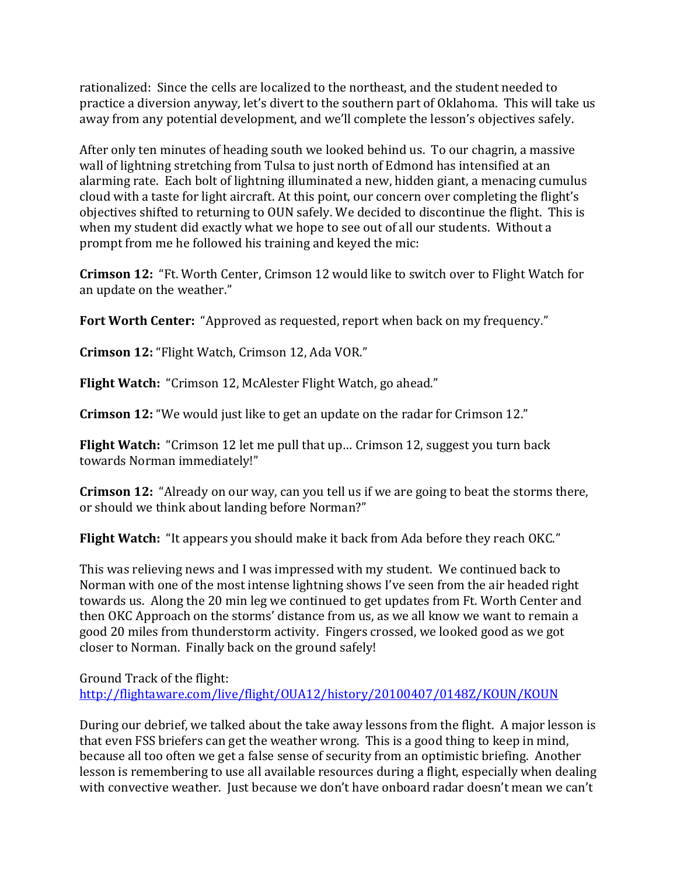rationalized: Since the cells are localized to the northeast, and the student needed to practice a diversion anyway, let's divert to the southern part of Oklahoma. This will take us away from any potential development, and we'll complete the lesson's objectives safely.

After only ten minutes of heading south we looked behind us. To our chagrin, a massive wall of lightning stretching from Tulsa to just north of Edmond has intensified at an alarming rate. Each bolt of lightning illuminated a new, hidden giant, a menacing cumulus cloud with a taste for light aircraft. At this point, our concern over completing the flight's objectives shifted to returning to OUN safely. We decided to discontinue the flight. This is when my student did exactly what we hope to see out of all our students. Without a prompt from me he followed his training and keyed the mic:

**Crimson 12:** "Ft. Worth Center, Crimson 12 would like to switch over to Flight Watch for an update on the weather."

**Fort Worth Center:** "Approved as requested, report when back on my frequency."

**Crimson 12:** "Flight Watch, Crimson 12, Ada VOR."

**Flight Watch:** "Crimson 12, McAlester Flight Watch, go ahead."

**Crimson 12:** "We would just like to get an update on the radar for Crimson 12."

**Flight Watch:** "Crimson 12 let me pull that up… Crimson 12, suggest you turn back towards Norman immediately!"

**Crimson 12:** "Already on our way, can you tell us if we are going to beat the storms there, or should we think about landing before Norman?"

**Flight Watch:** "It appears you should make it back from Ada before they reach OKC."

This was relieving news and I was impressed with my student. We continued back to Norman with one of the most intense lightning shows I've seen from the air headed right towards us. Along the 20 min leg we continued to get updates from Ft. Worth Center and then OKC Approach on the storms' distance from us, as we all know we want to remain a good 20 miles from thunderstorm activity. Fingers crossed, we looked good as we got closer to Norman. Finally back on the ground safely!

Ground Track of the flight: <http://flightaware.com/live/flight/OUA12/history/20100407/0148Z/KOUN/KOUN>

During our debrief, we talked about the take away lessons from the flight. A major lesson is that even FSS briefers can get the weather wrong. This is a good thing to keep in mind, because all too often we get a false sense of security from an optimistic briefing. Another lesson is remembering to use all available resources during a flight, especially when dealing with convective weather. Just because we don't have onboard radar doesn't mean we can't